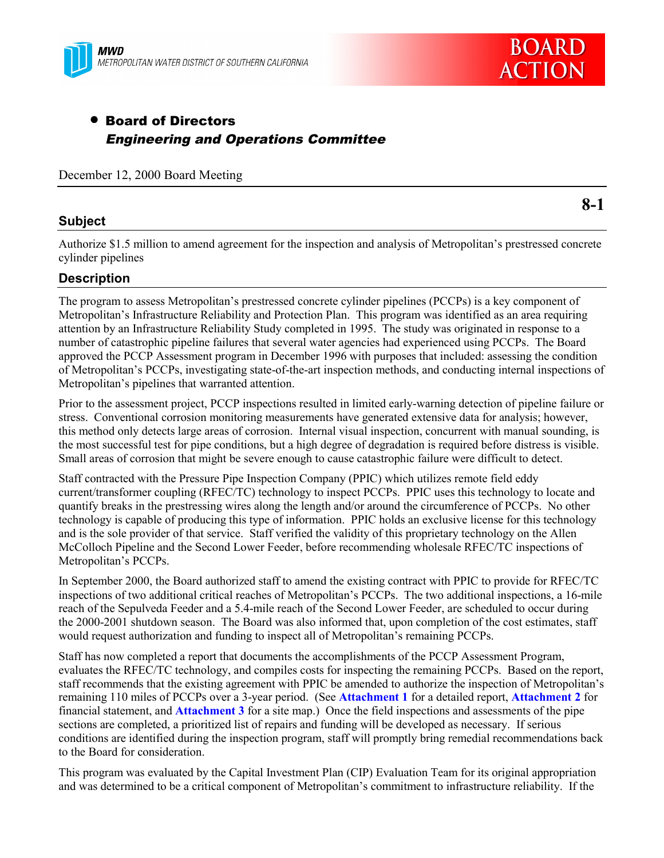



**8-1**

# • Board of Directors Engineering and Operations Committee

December 12, 2000 Board Meeting

### **Subject**

Authorize \$1.5 million to amend agreement for the inspection and analysis of Metropolitan's prestressed concrete cylinder pipelines

### **Description**

The program to assess Metropolitan's prestressed concrete cylinder pipelines (PCCPs) is a key component of Metropolitan's Infrastructure Reliability and Protection Plan. This program was identified as an area requiring attention by an Infrastructure Reliability Study completed in 1995. The study was originated in response to a number of catastrophic pipeline failures that several water agencies had experienced using PCCPs. The Board approved the PCCP Assessment program in December 1996 with purposes that included: assessing the condition of Metropolitan's PCCPs, investigating state-of-the-art inspection methods, and conducting internal inspections of Metropolitan's pipelines that warranted attention.

Prior to the assessment project, PCCP inspections resulted in limited early-warning detection of pipeline failure or stress. Conventional corrosion monitoring measurements have generated extensive data for analysis; however, this method only detects large areas of corrosion. Internal visual inspection, concurrent with manual sounding, is the most successful test for pipe conditions, but a high degree of degradation is required before distress is visible. Small areas of corrosion that might be severe enough to cause catastrophic failure were difficult to detect.

Staff contracted with the Pressure Pipe Inspection Company (PPIC) which utilizes remote field eddy current/transformer coupling (RFEC/TC) technology to inspect PCCPs. PPIC uses this technology to locate and quantify breaks in the prestressing wires along the length and/or around the circumference of PCCPs. No other technology is capable of producing this type of information. PPIC holds an exclusive license for this technology and is the sole provider of that service. Staff verified the validity of this proprietary technology on the Allen McColloch Pipeline and the Second Lower Feeder, before recommending wholesale RFEC/TC inspections of Metropolitan's PCCPs.

In September 2000, the Board authorized staff to amend the existing contract with PPIC to provide for RFEC/TC inspections of two additional critical reaches of Metropolitan's PCCPs. The two additional inspections, a 16-mile reach of the Sepulveda Feeder and a 5.4-mile reach of the Second Lower Feeder, are scheduled to occur during the 2000-2001 shutdown season. The Board was also informed that, upon completion of the cost estimates, staff would request authorization and funding to inspect all of Metropolitan's remaining PCCPs.

Staff has now completed a report that documents the accomplishments of the PCCP Assessment Program, evaluates the RFEC/TC technology, and compiles costs for inspecting the remaining PCCPs. Based on the report, staff recommends that the existing agreement with PPIC be amended to authorize the inspection of Metropolitan's remaining 110 miles of PCCPs over a 3-year period. (See **Attachment 1** for a detailed report, **Attachment 2** for financial statement, and **Attachment 3** for a site map.) Once the field inspections and assessments of the pipe sections are completed, a prioritized list of repairs and funding will be developed as necessary. If serious conditions are identified during the inspection program, staff will promptly bring remedial recommendations back to the Board for consideration.

This program was evaluated by the Capital Investment Plan (CIP) Evaluation Team for its original appropriation and was determined to be a critical component of Metropolitan's commitment to infrastructure reliability. If the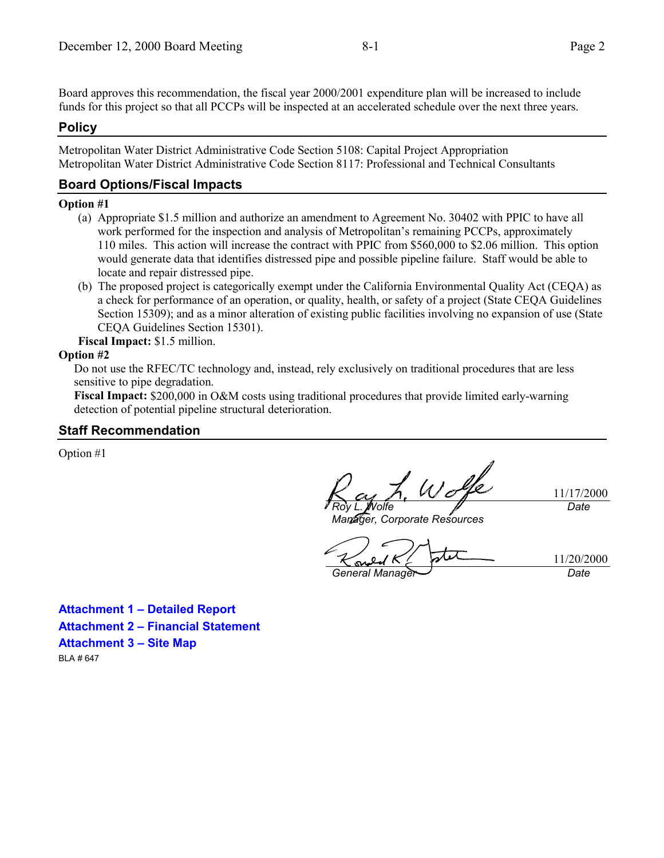Board approves this recommendation, the fiscal year 2000/2001 expenditure plan will be increased to include funds for this project so that all PCCPs will be inspected at an accelerated schedule over the next three years.

### **Policy**

Metropolitan Water District Administrative Code Section 5108: Capital Project Appropriation Metropolitan Water District Administrative Code Section 8117: Professional and Technical Consultants

### **Board Options/Fiscal Impacts**

#### **Option #1**

- (a) Appropriate \$1.5 million and authorize an amendment to Agreement No. 30402 with PPIC to have all work performed for the inspection and analysis of Metropolitan's remaining PCCPs, approximately 110 miles. This action will increase the contract with PPIC from \$560,000 to \$2.06 million. This option would generate data that identifies distressed pipe and possible pipeline failure. Staff would be able to locate and repair distressed pipe.
- (b) The proposed project is categorically exempt under the California Environmental Quality Act (CEQA) as a check for performance of an operation, or quality, health, or safety of a project (State CEQA Guidelines Section 15309); and as a minor alteration of existing public facilities involving no expansion of use (State CEQA Guidelines Section 15301).

**Fiscal Impact:** \$1.5 million.

#### **Option #2**

Do not use the RFEC/TC technology and, instead, rely exclusively on traditional procedures that are less sensitive to pipe degradation.

**Fiscal Impact:** \$200,000 in O&M costs using traditional procedures that provide limited early-warning detection of potential pipeline structural deterioration.

#### **Staff Recommendation**

Option #1

Wolfe *Roy L. Wolfe*

*Manager, Corporate Resources*

*General Manager Date*

11/20/2000

11/17/2000

*Date*

**Attachment 1 – Detailed Report Attachment 2 – Financial Statement Attachment 3 – Site Map** BLA # 647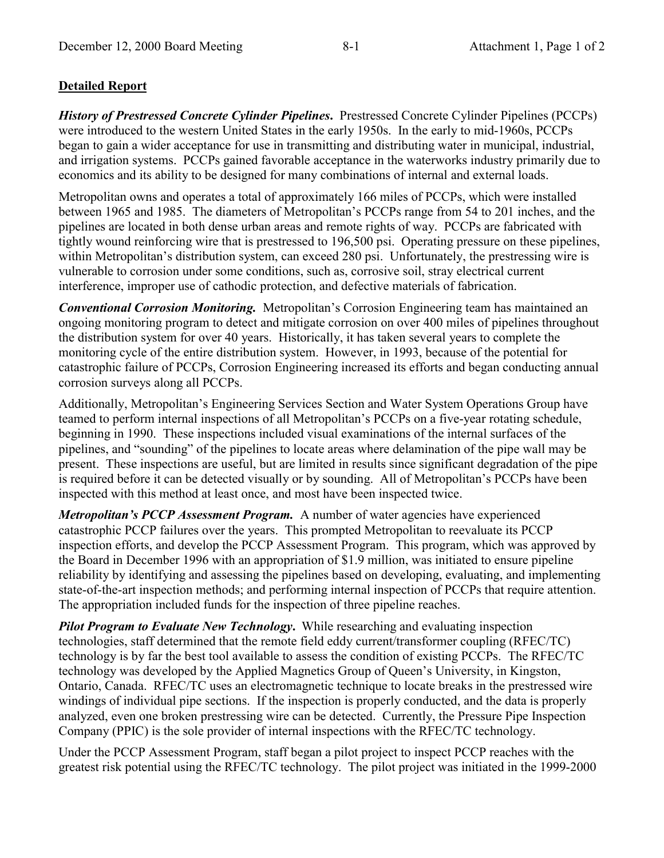## **Detailed Report**

*History of Prestressed Concrete Cylinder Pipelines***.** Prestressed Concrete Cylinder Pipelines (PCCPs) were introduced to the western United States in the early 1950s. In the early to mid-1960s, PCCPs began to gain a wider acceptance for use in transmitting and distributing water in municipal, industrial, and irrigation systems. PCCPs gained favorable acceptance in the waterworks industry primarily due to economics and its ability to be designed for many combinations of internal and external loads.

Metropolitan owns and operates a total of approximately 166 miles of PCCPs, which were installed between 1965 and 1985. The diameters of Metropolitan's PCCPs range from 54 to 201 inches, and the pipelines are located in both dense urban areas and remote rights of way. PCCPs are fabricated with tightly wound reinforcing wire that is prestressed to 196,500 psi. Operating pressure on these pipelines, within Metropolitan's distribution system, can exceed 280 psi. Unfortunately, the prestressing wire is vulnerable to corrosion under some conditions, such as, corrosive soil, stray electrical current interference, improper use of cathodic protection, and defective materials of fabrication.

*Conventional Corrosion Monitoring.* Metropolitan's Corrosion Engineering team has maintained an ongoing monitoring program to detect and mitigate corrosion on over 400 miles of pipelines throughout the distribution system for over 40 years. Historically, it has taken several years to complete the monitoring cycle of the entire distribution system. However, in 1993, because of the potential for catastrophic failure of PCCPs, Corrosion Engineering increased its efforts and began conducting annual corrosion surveys along all PCCPs.

Additionally, Metropolitan's Engineering Services Section and Water System Operations Group have teamed to perform internal inspections of all Metropolitan's PCCPs on a five-year rotating schedule, beginning in 1990. These inspections included visual examinations of the internal surfaces of the pipelines, and "sounding" of the pipelines to locate areas where delamination of the pipe wall may be present. These inspections are useful, but are limited in results since significant degradation of the pipe is required before it can be detected visually or by sounding. All of Metropolitan's PCCPs have been inspected with this method at least once, and most have been inspected twice.

*Metropolitan's PCCP Assessment Program.* A number of water agencies have experienced catastrophic PCCP failures over the years. This prompted Metropolitan to reevaluate its PCCP inspection efforts, and develop the PCCP Assessment Program. This program, which was approved by the Board in December 1996 with an appropriation of \$1.9 million, was initiated to ensure pipeline reliability by identifying and assessing the pipelines based on developing, evaluating, and implementing state-of-the-art inspection methods; and performing internal inspection of PCCPs that require attention. The appropriation included funds for the inspection of three pipeline reaches.

*Pilot Program to Evaluate New Technology***.** While researching and evaluating inspection technologies, staff determined that the remote field eddy current/transformer coupling (RFEC/TC) technology is by far the best tool available to assess the condition of existing PCCPs. The RFEC/TC technology was developed by the Applied Magnetics Group of Queen's University, in Kingston, Ontario, Canada. RFEC/TC uses an electromagnetic technique to locate breaks in the prestressed wire windings of individual pipe sections. If the inspection is properly conducted, and the data is properly analyzed, even one broken prestressing wire can be detected. Currently, the Pressure Pipe Inspection Company (PPIC) is the sole provider of internal inspections with the RFEC/TC technology.

Under the PCCP Assessment Program, staff began a pilot project to inspect PCCP reaches with the greatest risk potential using the RFEC/TC technology. The pilot project was initiated in the 1999-2000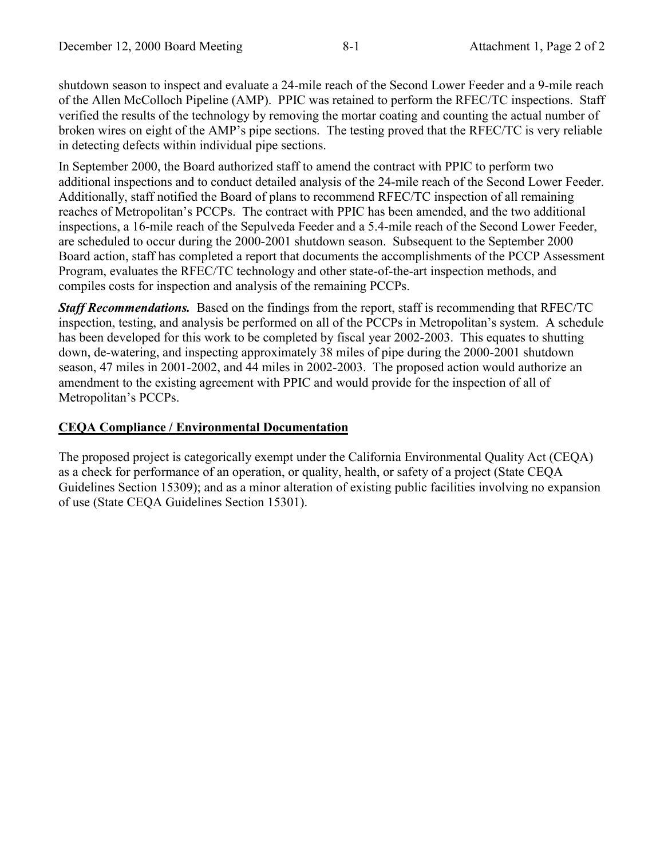shutdown season to inspect and evaluate a 24-mile reach of the Second Lower Feeder and a 9-mile reach of the Allen McColloch Pipeline (AMP). PPIC was retained to perform the RFEC/TC inspections. Staff verified the results of the technology by removing the mortar coating and counting the actual number of broken wires on eight of the AMP's pipe sections. The testing proved that the RFEC/TC is very reliable in detecting defects within individual pipe sections.

In September 2000, the Board authorized staff to amend the contract with PPIC to perform two additional inspections and to conduct detailed analysis of the 24-mile reach of the Second Lower Feeder. Additionally, staff notified the Board of plans to recommend RFEC/TC inspection of all remaining reaches of Metropolitan's PCCPs. The contract with PPIC has been amended, and the two additional inspections, a 16-mile reach of the Sepulveda Feeder and a 5.4-mile reach of the Second Lower Feeder, are scheduled to occur during the 2000-2001 shutdown season. Subsequent to the September 2000 Board action, staff has completed a report that documents the accomplishments of the PCCP Assessment Program, evaluates the RFEC/TC technology and other state-of-the-art inspection methods, and compiles costs for inspection and analysis of the remaining PCCPs.

*Staff Recommendations.* Based on the findings from the report, staff is recommending that RFEC/TC inspection, testing, and analysis be performed on all of the PCCPs in Metropolitan's system. A schedule has been developed for this work to be completed by fiscal year 2002-2003. This equates to shutting down, de-watering, and inspecting approximately 38 miles of pipe during the 2000-2001 shutdown season, 47 miles in 2001-2002, and 44 miles in 2002-2003. The proposed action would authorize an amendment to the existing agreement with PPIC and would provide for the inspection of all of Metropolitan's PCCPs.

## **CEQA Compliance / Environmental Documentation**

The proposed project is categorically exempt under the California Environmental Quality Act (CEQA) as a check for performance of an operation, or quality, health, or safety of a project (State CEQA Guidelines Section 15309); and as a minor alteration of existing public facilities involving no expansion of use (State CEQA Guidelines Section 15301).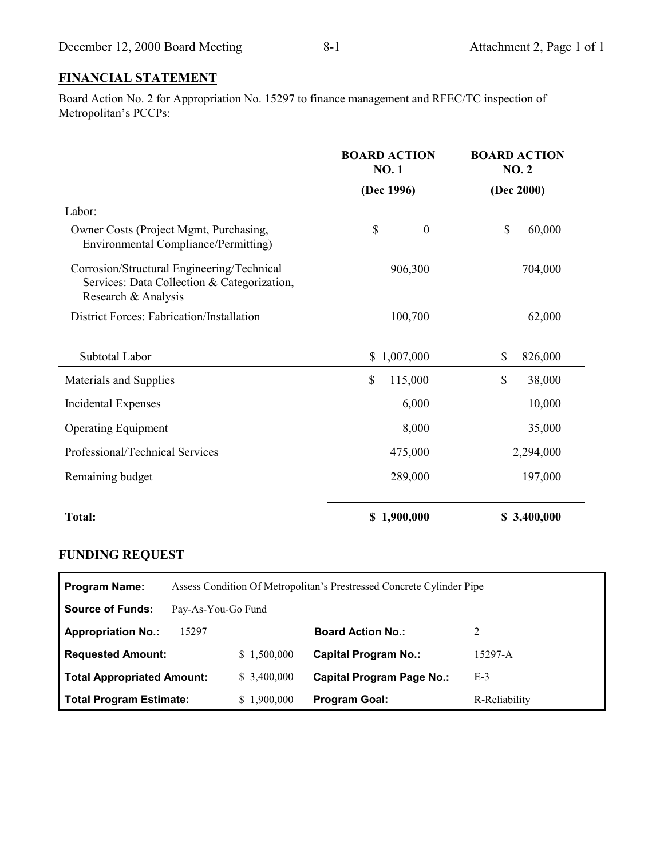## **FINANCIAL STATEMENT**

Board Action No. 2 for Appropriation No. 15297 to finance management and RFEC/TC inspection of Metropolitan's PCCPs:

|                                                                                                                  | <b>BOARD ACTION</b><br><b>NO.1</b> | <b>BOARD ACTION</b><br><b>NO. 2</b> |
|------------------------------------------------------------------------------------------------------------------|------------------------------------|-------------------------------------|
|                                                                                                                  | (Dec 1996)                         | (Dec 2000)                          |
| Labor:                                                                                                           |                                    |                                     |
| Owner Costs (Project Mgmt, Purchasing,<br>Environmental Compliance/Permitting)                                   | \$<br>$\boldsymbol{0}$             | \$<br>60,000                        |
| Corrosion/Structural Engineering/Technical<br>Services: Data Collection & Categorization,<br>Research & Analysis | 906,300                            | 704,000                             |
| District Forces: Fabrication/Installation                                                                        | 100,700                            | 62,000                              |
| Subtotal Labor                                                                                                   | 1,007,000<br>\$                    | \$<br>826,000                       |
| Materials and Supplies                                                                                           | \$<br>115,000                      | \$<br>38,000                        |
| Incidental Expenses                                                                                              | 6,000                              | 10,000                              |
| <b>Operating Equipment</b>                                                                                       | 8,000                              | 35,000                              |
| Professional/Technical Services                                                                                  | 475,000                            | 2,294,000                           |
| Remaining budget                                                                                                 | 289,000                            | 197,000                             |
| <b>Total:</b>                                                                                                    | \$1,900,000                        | \$3,400,000                         |

## **FUNDING REQUEST**

| <b>Program Name:</b>       | Assess Condition Of Metropolitan's Prestressed Concrete Cylinder Pipe |             |                                  |               |  |
|----------------------------|-----------------------------------------------------------------------|-------------|----------------------------------|---------------|--|
| <b>Source of Funds:</b>    | Pay-As-You-Go Fund                                                    |             |                                  |               |  |
| <b>Appropriation No.:</b>  | 15297                                                                 |             | <b>Board Action No.:</b>         | 2             |  |
| <b>Requested Amount:</b>   |                                                                       | \$1,500,000 | <b>Capital Program No.:</b>      | 15297-A       |  |
| Total Appropriated Amount: |                                                                       | \$3,400,000 | <b>Capital Program Page No.:</b> | $E-3$         |  |
| Total Program Estimate:    |                                                                       | \$1,900,000 | <b>Program Goal:</b>             | R-Reliability |  |